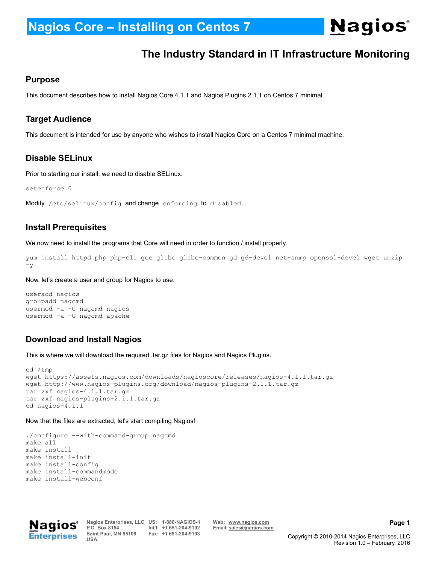**Nagios**®

### **The Industry Standard in IT Infrastructure Monitoring**

### **Purpose**

This document describes how to install Nagios Core 4.1.1 and Nagios Plugins 2.1.1 on Centos 7 minimal.

### **Target Audience**

This document is intended for use by anyone who wishes to install Nagios Core on a Centos 7 minimal machine.

### **Disable SELinux**

Prior to starting our install, we need to disable SELinux.

setenforce 0

```
Modify /etc/selinux/config and change enforcing to disabled.
```
### **Install Prerequisites**

We now need to install the programs that Core will need in order to function / install properly.

yum install httpd php php-cli gcc glibc glibc-common gd gd-devel net-snmp openssl-devel wget unzip  $-y$ 

Now, let's create a user and group for Nagios to use.

```
useradd nagios
groupadd nagcmd
usermod -a -G nagcmd nagios
usermod -a -G nagcmd apache
```
### **Download and Install Nagios**

This is where we will download the required .tar.gz files for Nagios and Nagios Plugins.

```
cd /tmp
wget https://assets.nagios.com/downloads/nagioscore/releases/nagios-4.1.1.tar.gz
wget http://www.nagios-plugins.org/download/nagios-plugins-2.1.1.tar.gz
tar zxf nagios-4.1.1.tar.gz
tar zxf nagios-plugins-2.1.1.tar.gz
cd nagios-4.1.1
```
#### Now that the files are extracted, let's start compiling Nagios!

```
./configure --with-command-group=nagcmd
make all
make install
make install-init
make install-config
make install-commandmode
make install-webconf
```